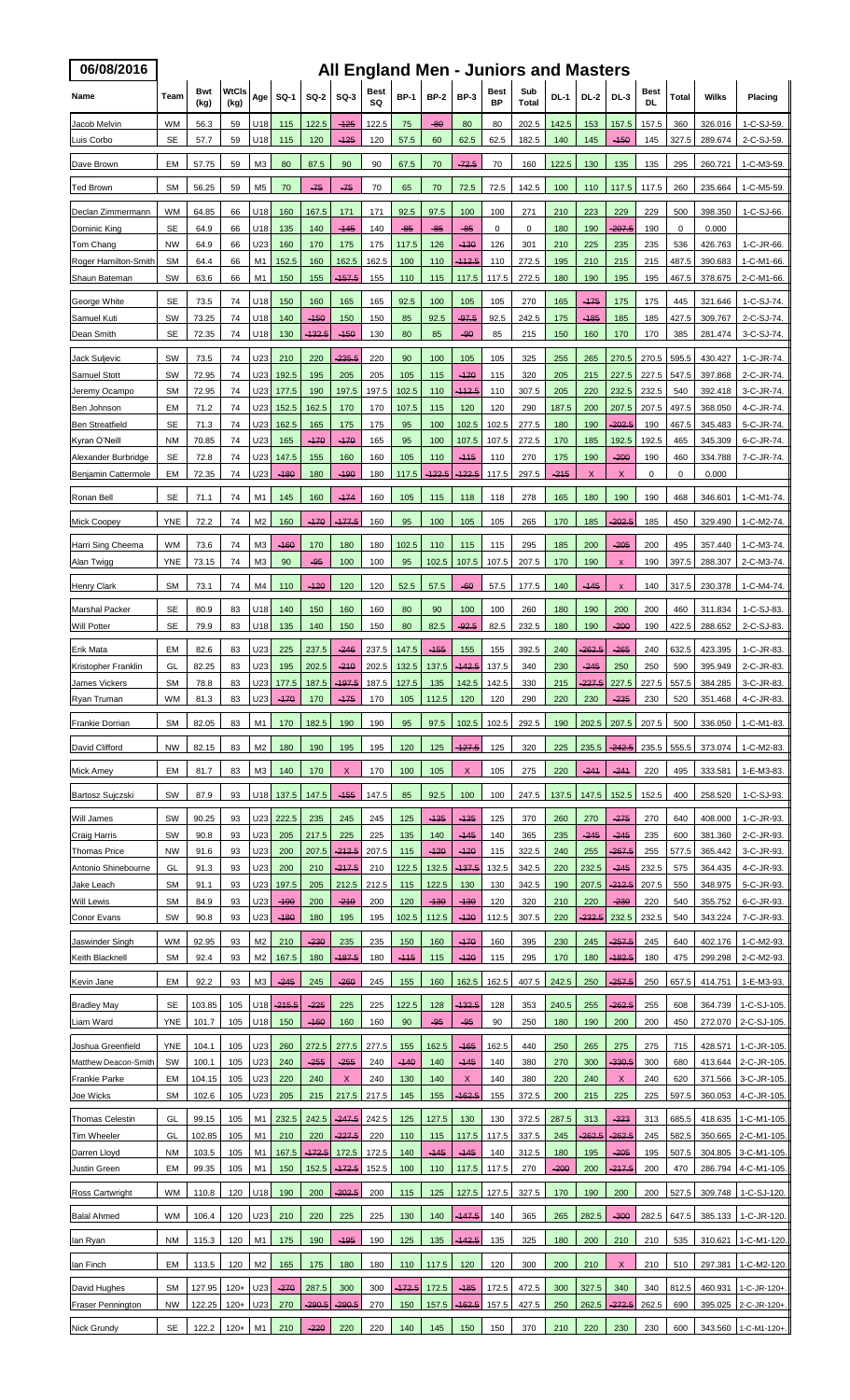| 06/08/2016                                 | All England Men - Juniors and Masters |                                                                   |                      |                                  |                 |                  |                    |              |               |                 |                  |               |                |              |               |                                |                   |                |                    |                                              |
|--------------------------------------------|---------------------------------------|-------------------------------------------------------------------|----------------------|----------------------------------|-----------------|------------------|--------------------|--------------|---------------|-----------------|------------------|---------------|----------------|--------------|---------------|--------------------------------|-------------------|----------------|--------------------|----------------------------------------------|
| Name                                       | Team                                  | Bwt<br>(kg)                                                       | <b>WtCls</b><br>(kg) | Age                              | <b>SQ-1</b>     | $SO-2$           | $SO-3$             | Best<br>SQ   | <b>BP-1</b>   | <b>BP-2</b>     | <b>BP-3</b>      | Best<br>ΒP    | Sub<br>Total   | <b>DL-1</b>  | DL-2          | $DL-3$                         | Best<br><b>DL</b> | Total          | Wilks              | Placing                                      |
| Jacob Melvin<br>Luis Corbo                 | WM<br>SE                              | 56.3<br>57.7                                                      | 59<br>59             | U18<br>U18                       | 115<br>115      | 122.5<br>120     | $-125$<br>$-125$   | 122.5<br>120 | 75<br>57.5    | $-80$<br>60     | 80<br>62.5       | 80<br>62.5    | 202.5<br>182.5 | 142.5<br>140 | 153<br>145    | 157.5<br>$-150$                | 157.5<br>145      | 360<br>327.5   | 326.016<br>289.674 | 1-C-SJ-59<br>2-C-SJ-59                       |
| Dave Brown                                 | EM                                    | 57.75                                                             | 59                   | M3                               | 80              | 87.5             | 90                 | 90           | 67.5          | 70              | $-72.5$          | 70            | 160            | 122.5        | 130           | 135                            | 135               | 295            | 260.721            | 1-C-M3-59                                    |
| <b>Ted Brown</b>                           | <b>SM</b>                             | 56.25                                                             | 59                   | M <sub>5</sub>                   | 70              | $-75$            | $-75$              | 70           | 65            | 70              | 72.5             | 72.5          | 142.5          | 100          | 110           | 117.5                          | 117.5             | 260            | 235.664            | 1-C-M5-59                                    |
| Declan Zimmermann                          | WM                                    | 64.85                                                             | 66                   | U18                              | 160             | 167.5            | 171                | 171          | 92.5          | 97.5            | 100              | 100           | 271            | 210          | 223           | 229                            | 229               | 500            | 398.350            | 1-C-SJ-66.                                   |
| Dominic King                               | SE                                    | 64.9                                                              | 66                   | U18                              | 135             | 140              | -145               | 140          | -85           | -85             | -85              | 0             | 0              | 180          | 190           | 207.5                          | 190               | 0              | 0.000              |                                              |
| Tom Chang<br>Roger Hamilton-Smith          | <b>NW</b><br>SM                       | 64.9<br>64.4                                                      | 66<br>66             | U23<br>M1                        | 160<br>152.5    | 170<br>160       | 175<br>162.5       | 175<br>162.5 | 117.5<br>100  | 126<br>110      | -130<br>-112.5   | 126<br>110    | 301<br>272.5   | 210<br>195   | 225<br>210    | 235<br>215                     | 235<br>215        | 536<br>487.5   | 426.763<br>390.683 | 1-C-JR-66.<br>1-C-M1-66.                     |
| Shaun Bateman                              | SW                                    | 63.6                                                              | 66                   | M1                               | 150             | 155              | -157.5             | 155          | 110           | 115             | 117.5            | 117.5         | 272.5          | 180          | 190           | 195                            | 195               | 467.5          | 378.675            | 2-C-M1-66                                    |
| George White                               | SE                                    | 73.5                                                              | 74                   | U18                              | 150             | 160              | 165                | 165          | 92.5          | 100             | 105              | 105           | 270            | 165          | $-175$        | 175                            | 175               | 445            | 321.646            | 1-C-SJ-74.                                   |
| Samuel Kuti                                | <b>SW</b>                             | 73.25                                                             | 74                   | U18                              | 140             | $-150$           | 150                | 150          | 85            | 92.5            | $-97.5$          | 92.5          | 242.5          | 175          | $-185$        | 185                            | 185               | 427.5          | 309.767            | 2-C-SJ-74.                                   |
| Dean Smith                                 | SE                                    | 72.35                                                             | 74                   | U18                              | 130             | <del>132.5</del> | $-450$             | 130          | 80            | 85              | $-90$            | 85            | 215            | 150          | 160           | 170                            | 170               | 385            | 281.474            | 3-C-SJ-74.                                   |
| Jack Suljevic<br>Samuel Stott              | SW<br>SW                              | 73.5<br>72.95                                                     | 74<br>74             | U23<br>U23                       | 210<br>192.5    | 220<br>195       | $-235.5$<br>205    | 220<br>205   | 90<br>105     | 100<br>115      | 105<br>$-120$    | 105<br>115    | 325<br>320     | 255<br>205   | 265<br>215    | 270.5<br>227.5                 | 270.5<br>227.5    | 595.5<br>547.5 | 430.427<br>397.868 | 1-C-JR-74.<br>2-C-JR-74.                     |
| Jeremy Ocampo                              | <b>SM</b>                             | 72.95                                                             | 74                   | U23                              | 177.5           | 190              | 197.5              | 197.5        | 102.5         | 110             | <u> 112.5</u>    | 110           | 307.5          | 205          | 220           | 232.5                          | 232.5             | 540            | 392.418            | 3-C-JR-74.                                   |
| Ben Johnson                                | EM                                    | 71.2                                                              | 74                   | U23                              | 152.5           | 162.5            | 170                | 170          | 107.5         | 115             | 120              | 120           | 290            | 187.5        | 200           | 207.5                          | 207.5             | 497.5          | 368.050            | 4-C-JR-74.                                   |
| <b>Ben Streatfield</b>                     | SE                                    | 71.3                                                              | 74<br>74             | U23<br>U23                       | 162.5           | 165              | 175                | 175          | 95            | 100             | 102.5            | 102.5         | 277.5          | 180<br>170   | 190           | -202.5                         | 190               | 467.5<br>465   | 345.483            | 5-C-JR-74.                                   |
| Kyran O'Neill<br>Alexander Burbridge       | <b>NM</b><br>SE                       | 70.85<br>72.8                                                     | 74                   | U23                              | 165<br>147.5    | -170<br>155      | $-170$<br>160      | 165<br>160   | 95<br>105     | 100<br>110      | 107.5<br>$-115$  | 107.5<br>110  | 272.5<br>270   | 175          | 185<br>190    | 192.5<br>$-200$                | 192.5<br>190      | 460            | 345.309<br>334.788 | 6-C-JR-74.<br>7-C-JR-74.                     |
| Benjamin Cattermole                        | EM                                    | 72.35                                                             | 74                   | U23                              | $-180$          | 180              | $-190$             | 180          | 117.5         | -122.5          | -122.5           | 117.5         | 297.5          | -215         | X             | X                              | 0                 | 0              | 0.000              |                                              |
| Ronan Bell                                 | SE                                    | 71.1                                                              | 74                   | M1                               | 145             | 160              | $-174$             | 160          | 105           | 115             | 118              | 118           | 278            | 165          | 180           | 190                            | 190               | 468            | 346.601            | 1-C-M1-74                                    |
| <b>Mick Coopey</b>                         | <b>YNE</b>                            | 72.2                                                              | 74                   | M2                               | 160             | $-170$           | $-177.5$           | 160          | 95            | 100             | 105              | 105           | 265            | 170          | 185           | 202.5                          | 185               | 450            | 329.490            | 1-C-M2-74                                    |
| Harri Sing Cheema                          | WM                                    | 73.6                                                              | 74                   | ΜЗ                               | $-160$          | 170              | 180                | 180          | 102.5         | 110             | 115              | 115           | 295            | 185          | 200           | $-205$                         | 200               | 495            | 357.440            | 1-C-M3-74.                                   |
| Alan Twigg<br><b>Henry Clark</b>           | YNE<br><b>SM</b>                      | 73.15<br>73.1                                                     | 74<br>74             | M <sub>3</sub><br>M4             | 90<br>110       | -95<br>$-120$    | 100<br>120         | 100<br>120   | 95<br>52.5    | 102.5<br>57.5   | 107.5<br>$-60$   | 107.5<br>57.5 | 207.5<br>177.5 | 170<br>140   | 190<br>$-145$ | x<br>$\boldsymbol{\mathsf{x}}$ | 190<br>140        | 397.5<br>317.5 | 288.307<br>230.378 | 2-C-M3-74.<br>1-C-M4-74.                     |
| <b>Marshal Packer</b>                      | SE                                    | 80.9                                                              | 83                   | U18                              | 140             | 150              | 160                | 160          | 80            | 90              | 100              | 100           | 260            | 180          | 190           | 200                            | 200               | 460            | 311.834            | 1-C-SJ-83.                                   |
| Will Potter                                | SE                                    | 79.9                                                              | 83                   | U18                              | 135             | 140              | 150                | 150          | 80            | 82.5            | $-92.5$          | 82.5          | 232.5          | 180          | 190           | -200                           | 190               | 422.5          | 288.652            | 2-C-SJ-83.                                   |
| Erik Mata                                  | EM                                    | 82.6                                                              | 83                   | U23                              | 225             | 237.5            | $-246$             | 237.5        | 147.5         | $-155$          | 155              | 155           | 392.5          | 240          | $-262.5$      | $-265$                         | 240               | 632.5          | 423.395            | 1-C-JR-83.                                   |
| Kristopher Franklin                        | GL                                    | 82.25                                                             | 83                   | U23                              | 195             | 202.5            | $-210$             | 202.5        | 132.5         | 137.5           | $-142.5$         | 137.5         | 340            | 230          | $-245$        | 250                            | 250               | 590            | 395.949            | 2-C-JR-83.                                   |
| James Vickers<br>Ryan Truman               | SM<br>WM                              | 78.8<br>81.3                                                      | 83<br>83             | U23<br>U23                       | 177.5<br>$-170$ | 187.5<br>170     | $-197.5$<br>$-175$ | 187.5<br>170 | 127.5<br>105  | 135<br>112.5    | 142.5<br>120     | 142.5<br>120  | 330<br>290     | 215<br>220   | 227.5<br>230  | 227.5<br>-235                  | 227.5<br>230      | 557.5<br>520   | 384.285<br>351.468 | 3-C-JR-83.<br>4-C-JR-83.                     |
| <b>Frankie Dorrian</b>                     | <b>SM</b>                             | 82.05                                                             | 83                   | M1                               | 170             | 182.5            | 190                | 190          | 95            | 97.5            | 102.5            | 102.5         | 292.5          | 190          | 202.5         | 207.5                          | 207.5             | 500            | 336.050            | 1-C-M1-83.                                   |
| David Clifford                             | <b>NW</b>                             | 82.15                                                             | 83                   | M <sub>2</sub>                   | 180             | 190              | 195                | 195          | 120           | 125             | 127.5            | 125           | 320            | 225          | 235.5         | 242.5                          | 235.5             | 555.5          | 373.074            | 1-C-M2-83                                    |
| <b>Mick Amey</b>                           | EM                                    | 81.7                                                              | 83                   | M <sub>3</sub>                   | 140             | 170              | X                  | 170          | 100           | 105             | X                | 105           | 275            | 220          | $-241$        | $-241$                         | 220               | 495            | 333.581            | 1-E-M3-83.                                   |
| <b>Bartosz Sujczski</b>                    | SW                                    | 87.9                                                              | 93                   | U18                              | 137.5           | 147.5            | $-155$             | 147.5        | 85            | 92.5            | 100              | 100           | 247.5          | 137.5        | 147.5         | 152.5                          | 152.5             | 400            | 258.520            | 1-C-SJ-93.                                   |
| Will James                                 | SW                                    | 90.25                                                             | 93                   | U23                              | 222.5           | 235              | 245                | 245          | 125           | -135            | -135             | 125           | 370            | 260          | 270           | -275                           | 270               | 640            | 408.000            | 1-C-JR-93.                                   |
| Craig Harris                               | SW                                    | 90.8                                                              | 93                   | U23                              | 205             | 217.5            | 225                | 225          | 135           | 140             | $-145$           | 140           | 365            | 235          | $-245$        | $-245$                         | 235               | 600            | 381.360            | 2-C-JR-93.                                   |
| <b>Thomas Price</b><br>Antonio Shinebourne | <b>NW</b><br>GL                       | 91.6<br>91.3                                                      | 93<br>93             | U23<br>U23                       | 200<br>200      | 207.5<br>210     | $-212.5$<br>-217.5 | 207.5<br>210 | 115<br>122.5  | $-120$<br>132.5 | $-120$<br>-137.5 | 115<br>132.5  | 322.5<br>342.5 | 240<br>220   | 255<br>232.5  | $-267.5$<br>$-245$             | 255<br>232.5      | 577.5<br>575   | 365.442<br>364.435 | 3-C-JR-93.<br>4-C-JR-93.                     |
| Jake Leach                                 | <b>SM</b>                             | 91.1                                                              | 93                   | U23                              | 197.5           | 205              | 212.5              | 212.5        | 115           | 122.5           | 130              | 130           | 342.5          | 190          | 207.5         | $-212.5$                       | 207.5             | 550            | 348.975            | 5-C-JR-93.                                   |
| Will Lewis                                 | SM                                    | 84.9                                                              | 93                   | U23                              | $-190$          | 200              | $-210$             | 200          | 120           | $-130$          | $-130$           | 120           | 320            | 210          | 220           | $-230$                         | 220               | 540            | 355.752            | 6-C-JR-93.                                   |
| Conor Evans                                | <b>SW</b>                             | 90.8                                                              | 93                   | U23                              | $-180$          | 180              | 195                | 195          | 102.5         | 112.5           | $-120$           | 112.5         | 307.5          | 220          | -232.5        | 232.5                          | 232.5             | 540            | 343.224            | 7-C-JR-93.                                   |
| Jaswinder Singh<br>Keith Blacknell         | <b>WM</b><br><b>SM</b>                | 92.95<br>92.4                                                     | 93<br>93             | M <sub>2</sub><br>M <sub>2</sub> | 210<br>167.5    | $-230$<br>180    | 235<br>-187.5      | 235<br>180   | 150<br>$-115$ | 160<br>115      | $-170$<br>$-120$ | 160<br>115    | 395<br>295     | 230<br>170   | 245<br>180    | $-257.5$<br><del>182.5</del>   | 245<br>180        | 640<br>475     | 402.176<br>299.298 | 1-C-M2-93<br>2-C-M2-93                       |
| Kevin Jane                                 | EM                                    | 92.2                                                              | 93                   | MЗ                               | $-245$          | 245              | $-260$             | 245          | 155           | 160             | 162.5            | 162.5         | 407.5          | 242.5        | 250           | $-257.5$                       | 250               | 657.5          | 414.751            | 1-E-M3-93.                                   |
| <b>Bradley May</b>                         | SE                                    | 103.85                                                            | 105                  | U18                              | -215.5          | -225             | 225                | 225          | 122.5         | 128             | 432.5            | 128           | 353            | 240.5        | 255           | -262.5                         | 255               | 608            | 364.739            | 1-C-SJ-105.                                  |
| Liam Ward                                  | YNE                                   | 101.7                                                             | 105                  | U18                              | 150             | $-160$           | 160                | 160          | 90            | $-95$           | -95              | 90            | 250            | 180          | 190           | 200                            | 200               | 450            | 272.070            | 2-C-SJ-105                                   |
| Joshua Greenfield                          | <b>YNE</b>                            | 104.1                                                             | 105                  | U23                              | 260             | 272.5            | 277.5              | 277.5        | 155           | 162.5           | -165             | 162.5         | 440            | 250          | 265           | 275                            | 275               | 715            | 428.571            | 1-C-JR-105                                   |
| Matthew Deacon-Smith                       | SW<br>EM                              | 100.1                                                             | 105                  | U23<br>U23                       | 240<br>220      | -255<br>240      | -255<br>X          | 240<br>240   | $-140$        | 140             | -145<br>X        | 140<br>140    | 380            | 270<br>220   | 300           | -330.5                         | 300<br>240        | 680<br>620     | 413.644            | 2-C-JR-105.                                  |
| <b>Frankie Parke</b><br>Joe Wicks          | <b>SM</b>                             | 104.15<br>102.6                                                   | 105<br>105           | U23                              | 205             | 215              | 217.5              | 217.5        | 130<br>145    | 140<br>155      | <del>162.5</del> | 155           | 380<br>372.5   | 200          | 240<br>215    | X<br>225                       | 225               | 597.5          | 371.566<br>360.053 | 3-C-JR-105<br>4-C-JR-105                     |
| Thomas Celestin                            | GL                                    | 99.15                                                             | 105                  | M1                               | 232.5           | 242.5            | $-247.5$           | 242.5        | 125           | 127.5           | 130              | 130           | 372.5          | 287.5        | 313           | -323                           | 313               | 685.5          | 418.635            | 1-C-M1-105.                                  |
| <b>Tim Wheeler</b>                         | GL                                    | 102.85                                                            | 105                  | M1                               | 210             | 220              | -227.5             | 220          | 110           | 115             | 117.5            | 117.5         | 337.5          | 245          | -262.5        | -262.5                         | 245               | 582.5          | 350.665            | 2-C-M1-105.                                  |
| Darren Lloyd                               | NM                                    | 103.5                                                             | 105                  | M1                               | 167.5           | <del>172.5</del> | 172.5              | 172.5        | 140           | -145            | -145             | 140           | 312.5          | 180          | 195           | -205                           | 195               | 507.5          | 304.805            | 3-C-M1-105.                                  |
| Justin Green                               | EM                                    | 99.35                                                             | 105                  | M1                               | 150             | 152.5            | <del>-172.5</del>  | 152.5        | 100           | 110             | 117.5            | 117.5         | 270            | $-200$       | 200           | $-217.5$                       | 200               | 470            | 286.794            | 4-C-M1-105.                                  |
| Ross Cartwright                            | WM                                    | 110.8                                                             | 120                  | U18                              | 190             | 200              | -202.5             | 200          | 115           | 125             | 127.5            | 127.5         | 327.5          | 170          | 190           | 200                            | 200               | 527.5          | 309.748            | 1-C-SJ-120.                                  |
| <b>Balal Ahmed</b>                         | <b>WM</b>                             | 106.4                                                             | 120                  | U23                              | 210             | 220              | 225                | 225          | 130           | 140             | $-147.5$         | 140           | 365            | 265          | 282.5         | $-300$                         | 282.5             | 647.5          | 385.133            | 1-C-JR-120                                   |
| lan Ryan                                   | <b>NM</b>                             | 115.3                                                             | 120                  | M1                               | 175             | 190              | $-195$             | 190          | 125           | 135             | -142.5           | 135           | 325            | 180          | 200           | 210                            | 210               | 535            | 310.621            | 1-C-M1-120.                                  |
| lan Finch                                  | EM                                    | 113.5                                                             | 120                  | M <sub>2</sub>                   | 165             | 175              | 180                | 180          | 110           | 117.5           | 120              | 120           | 300            | 200          | 210           | X                              | 210               | 510            | 297.381            | 1-C-M2-120.                                  |
| David Hughes                               | <b>SM</b>                             | 127.95                                                            | $120+$               | U23                              | $-270$          | 287.5            | 300                | 300          | -172.5        | 172.5           | -185             | 172.5         | 472.5          | 300          | 327.5         | 340                            | 340               | 812.5          | 460.931            | 1-C-JR-120+.                                 |
| <b>Fraser Pennington</b>                   | <b>NW</b>                             | 122.25                                                            | $120+$               | U23                              | 270             | $-290.5$         | $-290.5$           | 270          | 150           | 157.5           | $-162.5$         | 157.5         | 427.5          | 250          | 262.5         | $-272.5$                       | 262.5             | 690            | 395.025            | 2-C-JR-120+.                                 |
| Nick Grundy                                |                                       | SE   122.2   120+   M1   210   -220   220   220   140   145   150 |                      |                                  |                 |                  |                    |              |               |                 |                  | 150           |                |              |               |                                |                   |                |                    | 370 210 220 230 230 600 343.560 1-C-M1-120+. |